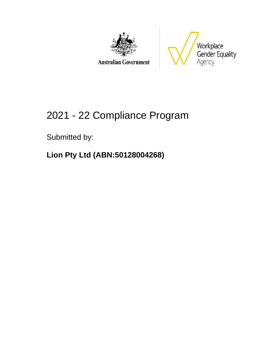



### **Australian Government**

# 2021 - 22 Compliance Program

### Submitted by:

### **Lion Pty Ltd (ABN:50128004268)**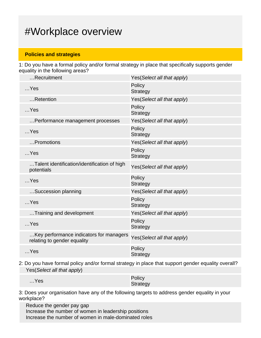### #Workplace overview

#### **Policies and strategies**

1: Do you have a formal policy and/or formal strategy in place that specifically supports gender equality in the following areas?

| Recruitment                                                            | Yes(Select all that apply)  |
|------------------------------------------------------------------------|-----------------------------|
| $$ Yes                                                                 | Policy<br><b>Strategy</b>   |
| Retention                                                              | Yes (Select all that apply) |
| $$ Yes                                                                 | Policy<br><b>Strategy</b>   |
| Performance management processes                                       | Yes(Select all that apply)  |
| $$ Yes                                                                 | Policy<br><b>Strategy</b>   |
| Promotions                                                             | Yes(Select all that apply)  |
| $$ Yes                                                                 | Policy<br><b>Strategy</b>   |
| Talent identification/identification of high<br>potentials             | Yes(Select all that apply)  |
| $$ Yes                                                                 | Policy<br><b>Strategy</b>   |
| Succession planning                                                    | Yes (Select all that apply) |
| $$ Yes                                                                 | Policy<br><b>Strategy</b>   |
| Training and development                                               | Yes(Select all that apply)  |
| $$ Yes                                                                 | Policy<br><b>Strategy</b>   |
| Key performance indicators for managers<br>relating to gender equality | Yes(Select all that apply)  |
| $$ Yes                                                                 | Policy<br><b>Strategy</b>   |

2: Do you have formal policy and/or formal strategy in place that support gender equality overall? Yes(Select all that apply)

| $$ Yes | Policy   |
|--------|----------|
|        | Strategy |

3: Does your organisation have any of the following targets to address gender equality in your workplace?

Reduce the gender pay gap Increase the number of women in leadership positions Increase the number of women in male-dominated roles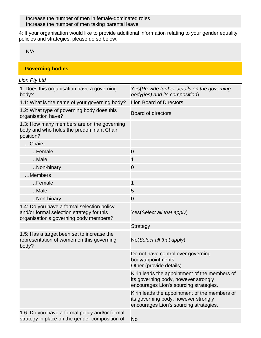Increase the number of men in female-dominated roles Increase the number of men taking parental leave

4: If your organisation would like to provide additional information relating to your gender equality policies and strategies, please do so below.

N/A

#### **Governing bodies**

| Lion Pty Ltd                                                                                                                      |                                                                                                                                 |
|-----------------------------------------------------------------------------------------------------------------------------------|---------------------------------------------------------------------------------------------------------------------------------|
| 1: Does this organisation have a governing<br>body?                                                                               | Yes (Provide further details on the governing<br>body(ies) and its composition)                                                 |
| 1.1: What is the name of your governing body?                                                                                     | <b>Lion Board of Directors</b>                                                                                                  |
| 1.2: What type of governing body does this<br>organisation have?                                                                  | <b>Board of directors</b>                                                                                                       |
| 1.3: How many members are on the governing<br>body and who holds the predominant Chair<br>position?                               |                                                                                                                                 |
| Chairs                                                                                                                            |                                                                                                                                 |
| Female                                                                                                                            | $\overline{0}$                                                                                                                  |
| Male                                                                                                                              | 1                                                                                                                               |
| Non-binary                                                                                                                        | $\mathbf 0$                                                                                                                     |
| Members                                                                                                                           |                                                                                                                                 |
| Female                                                                                                                            | $\mathbf{1}$                                                                                                                    |
| Male                                                                                                                              | 5                                                                                                                               |
| Non-binary                                                                                                                        | $\overline{0}$                                                                                                                  |
| 1.4: Do you have a formal selection policy<br>and/or formal selection strategy for this<br>organisation's governing body members? | Yes (Select all that apply)                                                                                                     |
|                                                                                                                                   | Strategy                                                                                                                        |
| 1.5: Has a target been set to increase the<br>representation of women on this governing<br>body?                                  | No(Select all that apply)                                                                                                       |
|                                                                                                                                   | Do not have control over governing<br>body/appointments<br>Other (provide details)                                              |
|                                                                                                                                   | Kirin leads the appointment of the members of<br>its governing body, however strongly<br>encourages Lion's sourcing strategies. |
|                                                                                                                                   | Kirin leads the appointment of the members of<br>its governing body, however strongly<br>encourages Lion's sourcing strategies. |
| 1.6: Do you have a formal policy and/or formal<br>strategy in place on the gender composition of                                  | <b>No</b>                                                                                                                       |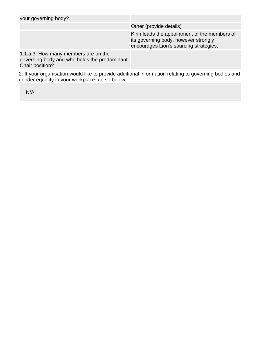| your governing body?                                                                                    |                                                                                                                                 |
|---------------------------------------------------------------------------------------------------------|---------------------------------------------------------------------------------------------------------------------------------|
|                                                                                                         | Other (provide details)                                                                                                         |
|                                                                                                         | Kirin leads the appointment of the members of<br>its governing body, however strongly<br>encourages Lion's sourcing strategies. |
| 1.1.a.3: How many members are on the<br>governing body and who holds the predominant<br>Chair position? |                                                                                                                                 |

2: If your organisation would like to provide additional information relating to governing bodies and gender equality in your workplace, do so below.

N/A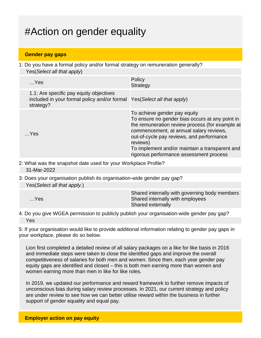# #Action on gender equality

#### **Gender pay gaps**

1: Do you have a formal policy and/or formal strategy on remuneration generally? Yes(Select all that apply)

| $$ Yes                                                                                                                           | Policy<br><b>Strategy</b>                                                                                                                                                                                                                                                                                                           |
|----------------------------------------------------------------------------------------------------------------------------------|-------------------------------------------------------------------------------------------------------------------------------------------------------------------------------------------------------------------------------------------------------------------------------------------------------------------------------------|
| 1.1: Are specific pay equity objectives<br>included in your formal policy and/or formal Yes (Select all that apply)<br>strategy? |                                                                                                                                                                                                                                                                                                                                     |
| $$ Yes                                                                                                                           | To achieve gender pay equity<br>To ensure no gender bias occurs at any point in<br>the remuneration review process (for example at<br>commencement, at annual salary reviews,<br>out-of-cycle pay reviews, and performance<br>reviews)<br>To implement and/or maintain a transparent and<br>rigorous performance assessment process |

- 2: What was the snapshot date used for your Workplace Profile? 31-Mar-2022
- 3: Does your organisation publish its organisation-wide gender pay gap? Yes(Select all that apply.)

| $$ Yes | Shared internally with governing body members<br>Shared internally with employees<br><b>Shared externally</b> |
|--------|---------------------------------------------------------------------------------------------------------------|
|        |                                                                                                               |

4: Do you give WGEA permission to publicly publish your organisation-wide gender pay gap? Yes

5: If your organisation would like to provide additional information relating to gender pay gaps in your workplace, please do so below.

Lion first completed a detailed review of all salary packages on a like for like basis in 2016 and immediate steps were taken to close the identified gaps and improve the overall competitiveness of salaries for both men and women. Since then, each year gender pay equity gaps are identified and closed – this is both men earning more than women and women earning more than men in like for like roles.

In 2019, we updated our performance and reward framework to further remove impacts of unconscious bias during salary review processes. In 2021, our current strategy and policy are under review to see how we can better utilise reward within the business in further support of gender equality and equal pay.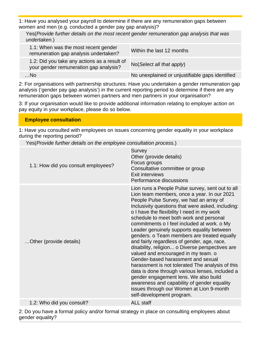1: Have you analysed your payroll to determine if there are any remuneration gaps between women and men (e.g. conducted a gender pay gap analysis)?

Yes(Provide further details on the most recent gender remuneration gap analysis that was undertaken.)

| 1.1: When was the most recent gender<br>remuneration gap analysis undertaken?          | Within the last 12 months                       |
|----------------------------------------------------------------------------------------|-------------------------------------------------|
| 1.2: Did you take any actions as a result of<br>your gender remuneration gap analysis? | $No(Select \textit{all} that apply)$            |
| $$ No                                                                                  | No unexplained or unjustifiable gaps identified |

2: For organisations with partnership structures: Have you undertaken a gender remuneration gap analysis ('gender pay gap analysis') in the current reporting period to determine if there are any remuneration gaps between women partners and men partners in your organisation?

3: If your organisation would like to provide additional information relating to employer action on pay equity in your workplace, please do so below.

### **Employee consultation**

1: Have you consulted with employees on issues concerning gender equality in your workplace during the reporting period?

Yes(Provide further details on the employee consultation process.)

| 1.1: How did you consult employees? | Survey<br>Other (provide details)<br>Focus groups<br>Consultative committee or group<br>Exit interviews<br>Performance discussions                                                                                                                                                                                                                                                                                                                                                                                                                                                                                                                                                                                                                                                                                                                                                          |
|-------------------------------------|---------------------------------------------------------------------------------------------------------------------------------------------------------------------------------------------------------------------------------------------------------------------------------------------------------------------------------------------------------------------------------------------------------------------------------------------------------------------------------------------------------------------------------------------------------------------------------------------------------------------------------------------------------------------------------------------------------------------------------------------------------------------------------------------------------------------------------------------------------------------------------------------|
| Other (provide details)             | Lion runs a People Pulse survey, sent out to all<br>Lion team members, once a year. In our 2021<br>People Pulse Survey, we had an array of<br>Inclusivity questions that were asked, including:<br>o I have the flexibility I need in my work<br>schedule to meet both work and personal<br>commitments o I feel included at work. o My<br>Leader genuinely supports equality between<br>genders. o Team members are treated equally<br>and fairly regardless of gender, age, race,<br>disability, religion o Diverse perspectives are<br>valued and encouraged in my team. o<br>Gender-based harassment and sexual<br>harassment is not tolerated The analysis of this<br>data is done through various lenses, included a<br>gender engagement lens. We also build<br>awareness and capability of gender equality<br>issues through our Women at Lion 9-month<br>self-development program. |
| 1.2: Who did you consult?           | <b>ALL staff</b>                                                                                                                                                                                                                                                                                                                                                                                                                                                                                                                                                                                                                                                                                                                                                                                                                                                                            |

2: Do you have a formal policy and/or formal strategy in place on consulting employees about gender equality?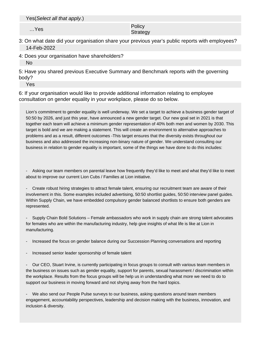Yes(Select all that apply.)

…Yes Policy Policy Product in the Policy Policy Product in the Policy Product in the Policy Product in the Policy Product in the Policy Product in the Policy Product in the Policy Product in the Policy Product in the Polic **Strategy** 

- 3: On what date did your organisation share your previous year's public reports with employees? 14-Feb-2022
- 4: Does your organisation have shareholders?

No

5: Have you shared previous Executive Summary and Benchmark reports with the governing body?

Yes

6: If your organisation would like to provide additional information relating to employee consultation on gender equality in your workplace, please do so below.

Lion's commitment to gender equality is well underway. We set a target to achieve a business gender target of 50:50 by 2026, and just this year, have announced a new gender target. Our new goal set in 2021 is that together each team will achieve a minimum gender representation of 40% both men and women by 2030. This target is bold and we are making a statement. This will create an environment to alternative approaches to problems and as a result, different outcomes -This target ensures that the diversity exists throughout our business and also addressed the increasing non-binary nature of gender. We understand consulting our business in relation to gender equality is important, some of the things we have done to do this includes:

Asking our team members on parental leave how frequently they'd like to meet and what they'd like to meet about to improve our current Lion Cubs / Families at Lion initiative.

Create robust hiring strategies to attract female talent, ensuring our recruitment team are aware of their involvement in this. Some examples included advertising, 50:50 shortlist guides, 50:50 interview panel guides. Within Supply Chain, we have embedded compulsory gender balanced shortlists to ensure both genders are represented.

- Supply Chain Bold Solutions – Female ambassadors who work in supply chain are strong talent advocates for females who are within the manufacturing industry, help give insights of what life is like at Lion in manufacturing.

- Increased the focus on gender balance during our Succession Planning conversations and reporting
- Increased senior leader sponsorship of female talent

- Our CEO, Stuart Irvine, is currently participating in focus groups to consult with various team members in the business on issues such as gender equality, support for parents, sexual harassment / discrimination within the workplace. Results from the focus groups will be help us in understanding what more we need to do to support our business in moving forward and not shying away from the hard topics.

- We also send our People Pulse surveys to our business, asking questions around team members engagement, accountability perspectives, leadership and decision making with the business, innovation, and inclusion & diversity.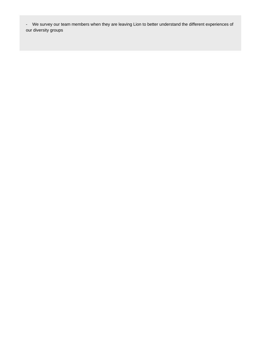- We survey our team members when they are leaving Lion to better understand the different experiences of our diversity groups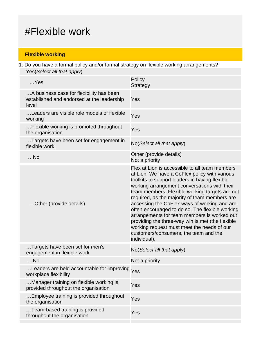### #Flexible work

### **Flexible working**

1: Do you have a formal policy and/or formal strategy on flexible working arrangements? Yes(Select all that apply)

| $$ Yes                                                                                          | Policy                                                                                                                                                                                                                                                                                                                                                                                                                                                                                                                                                                                                            |
|-------------------------------------------------------------------------------------------------|-------------------------------------------------------------------------------------------------------------------------------------------------------------------------------------------------------------------------------------------------------------------------------------------------------------------------------------------------------------------------------------------------------------------------------------------------------------------------------------------------------------------------------------------------------------------------------------------------------------------|
|                                                                                                 | <b>Strategy</b>                                                                                                                                                                                                                                                                                                                                                                                                                                                                                                                                                                                                   |
| A business case for flexibility has been<br>established and endorsed at the leadership<br>level | Yes                                                                                                                                                                                                                                                                                                                                                                                                                                                                                                                                                                                                               |
| Leaders are visible role models of flexible<br>working                                          | Yes                                                                                                                                                                                                                                                                                                                                                                                                                                                                                                                                                                                                               |
| Flexible working is promoted throughout<br>the organisation                                     | Yes                                                                                                                                                                                                                                                                                                                                                                                                                                                                                                                                                                                                               |
| Targets have been set for engagement in<br>flexible work                                        | No(Select all that apply)                                                                                                                                                                                                                                                                                                                                                                                                                                                                                                                                                                                         |
| $$ No                                                                                           | Other (provide details)<br>Not a priority                                                                                                                                                                                                                                                                                                                                                                                                                                                                                                                                                                         |
| Other (provide details)                                                                         | Flex at Lion is accessible to all team members<br>at Lion. We have a CoFlex policy with various<br>toolkits to support leaders in having flexible<br>working arrangement conversations with their<br>team members. Flexible working targets are not<br>required, as the majority of team members are<br>accessing the CoFlex ways of working and are<br>often encouraged to do so. The flexible working<br>arrangements for team members is worked out<br>providing the three-way win is met (the flexible<br>working request must meet the needs of our<br>customers/consumers, the team and the<br>individual). |
| Targets have been set for men's<br>engagement in flexible work                                  | No(Select all that apply)                                                                                                                                                                                                                                                                                                                                                                                                                                                                                                                                                                                         |
| $$ No                                                                                           | Not a priority                                                                                                                                                                                                                                                                                                                                                                                                                                                                                                                                                                                                    |
| Leaders are held accountable for improving $_{\rm Yes}$<br>workplace flexibility                |                                                                                                                                                                                                                                                                                                                                                                                                                                                                                                                                                                                                                   |
| Manager training on flexible working is<br>provided throughout the organisation                 | Yes                                                                                                                                                                                                                                                                                                                                                                                                                                                                                                                                                                                                               |
| Employee training is provided throughout<br>the organisation                                    | Yes                                                                                                                                                                                                                                                                                                                                                                                                                                                                                                                                                                                                               |
| Team-based training is provided<br>throughout the organisation                                  | Yes                                                                                                                                                                                                                                                                                                                                                                                                                                                                                                                                                                                                               |
|                                                                                                 |                                                                                                                                                                                                                                                                                                                                                                                                                                                                                                                                                                                                                   |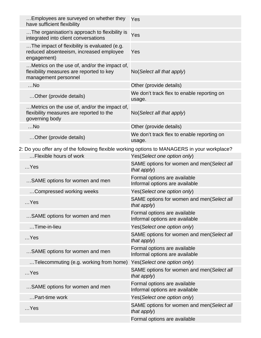|                                                                                              | Employees are surveyed on whether they<br>have sufficient flexibility                                            | Yes                                                            |
|----------------------------------------------------------------------------------------------|------------------------------------------------------------------------------------------------------------------|----------------------------------------------------------------|
|                                                                                              | The organisation's approach to flexibility is<br>integrated into client conversations                            | Yes                                                            |
|                                                                                              | The impact of flexibility is evaluated (e.g.<br>reduced absenteeism, increased employee<br>engagement)           | Yes                                                            |
|                                                                                              | Metrics on the use of, and/or the impact of,<br>flexibility measures are reported to key<br>management personnel | No(Select all that apply)                                      |
|                                                                                              | $$ No                                                                                                            | Other (provide details)                                        |
|                                                                                              | Other (provide details)                                                                                          | We don't track flex to enable reporting on<br>usage.           |
|                                                                                              | Metrics on the use of, and/or the impact of,<br>flexibility measures are reported to the<br>governing body       | No(Select all that apply)                                      |
|                                                                                              | $$ No                                                                                                            | Other (provide details)                                        |
|                                                                                              | Other (provide details)                                                                                          | We don't track flex to enable reporting on<br>usage.           |
| 2: Do you offer any of the following flexible working options to MANAGERS in your workplace? |                                                                                                                  |                                                                |
|                                                                                              | Flexible hours of work                                                                                           | Yes(Select one option only)                                    |
|                                                                                              | $$ Yes                                                                                                           | SAME options for women and men(Select all<br>that apply)       |
|                                                                                              | SAME options for women and men                                                                                   | Formal options are available<br>Informal options are available |
|                                                                                              | Compressed working weeks                                                                                         | Yes(Select one option only)                                    |
|                                                                                              | $$ Yes                                                                                                           | SAME options for women and men(Select all<br>that apply)       |
|                                                                                              | SAME options for women and men                                                                                   | Formal options are available<br>Informal options are available |
|                                                                                              | Time-in-lieu                                                                                                     | Yes(Select one option only)                                    |
|                                                                                              | $$ Yes                                                                                                           | SAME options for women and men(Select all<br>that apply)       |
|                                                                                              | SAME options for women and men                                                                                   | Formal options are available<br>Informal options are available |
|                                                                                              | Telecommuting (e.g. working from home)                                                                           | Yes(Select one option only)                                    |
|                                                                                              | $$ Yes                                                                                                           | SAME options for women and men(Select all<br>that apply)       |
|                                                                                              | SAME options for women and men                                                                                   | Formal options are available<br>Informal options are available |
|                                                                                              | Part-time work                                                                                                   | Yes(Select one option only)                                    |
|                                                                                              | $$ Yes                                                                                                           | SAME options for women and men(Select all<br>that apply)       |
|                                                                                              |                                                                                                                  | Formal options are available                                   |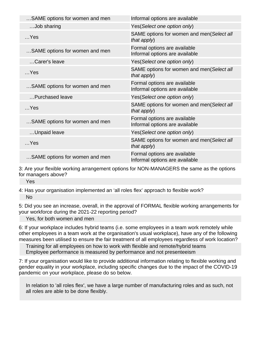| SAME options for women and men | Informal options are available                                 |
|--------------------------------|----------------------------------------------------------------|
| Job sharing                    | Yes(Select one option only)                                    |
| $$ Yes                         | SAME options for women and men(Select all<br>that apply)       |
| SAME options for women and men | Formal options are available<br>Informal options are available |
| Carer's leave                  | Yes(Select one option only)                                    |
| $$ Yes                         | SAME options for women and men(Select all<br>that apply)       |
| SAME options for women and men | Formal options are available<br>Informal options are available |
| Purchased leave                | Yes(Select one option only)                                    |
| $$ Yes                         | SAME options for women and men(Select all<br>that apply)       |
| SAME options for women and men | Formal options are available<br>Informal options are available |
| Unpaid leave                   | Yes(Select one option only)                                    |
| $$ Yes                         | SAME options for women and men(Select all<br>that apply)       |
| SAME options for women and men | Formal options are available<br>Informal options are available |

3: Are your flexible working arrangement options for NON-MANAGERS the same as the options for managers above?

Yes

4: Has your organisation implemented an 'all roles flex' approach to flexible work? No

5: Did you see an increase, overall, in the approval of FORMAL flexible working arrangements for your workforce during the 2021-22 reporting period?

Yes, for both women and men

6: If your workplace includes hybrid teams (i.e. some employees in a team work remotely while other employees in a team work at the organisation's usual workplace), have any of the following measures been utilised to ensure the fair treatment of all employees regardless of work location?

Training for all employees on how to work with flexible and remote/hybrid teams Employee performance is measured by performance and not presenteeism

7: If your organisation would like to provide additional information relating to flexible working and gender equality in your workplace, including specific changes due to the impact of the COVID-19 pandemic on your workplace, please do so below.

In relation to 'all roles flex', we have a large number of manufacturing roles and as such, not all roles are able to be done flexibly.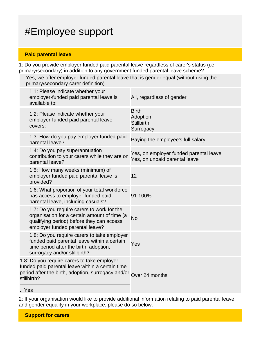# #Employee support

#### **Paid parental leave**

1: Do you provide employer funded paid parental leave regardless of carer's status (i.e. primary/secondary) in addition to any government funded parental leave scheme?

Yes, we offer employer funded parental leave that is gender equal (without using the primary/secondary carer definition)

|     | 1.1: Please indicate whether your<br>employer-funded paid parental leave is<br>available to:                                                                                        | All, regardless of gender                                               |
|-----|-------------------------------------------------------------------------------------------------------------------------------------------------------------------------------------|-------------------------------------------------------------------------|
|     | 1.2: Please indicate whether your<br>employer-funded paid parental leave<br>covers:                                                                                                 | <b>Birth</b><br>Adoption<br><b>Stillbirth</b><br>Surrogacy              |
|     | 1.3: How do you pay employer funded paid<br>parental leave?                                                                                                                         | Paying the employee's full salary                                       |
|     | 1.4: Do you pay superannuation<br>contribution to your carers while they are on<br>parental leave?                                                                                  | Yes, on employer funded parental leave<br>Yes, on unpaid parental leave |
|     | 1.5: How many weeks (minimum) of<br>employer funded paid parental leave is<br>provided?                                                                                             | 12                                                                      |
|     | 1.6: What proportion of your total workforce<br>has access to employer funded paid<br>parental leave, including casuals?                                                            | 91-100%                                                                 |
|     | 1.7: Do you require carers to work for the<br>organisation for a certain amount of time (a<br>qualifying period) before they can access<br>employer funded parental leave?          | <b>No</b>                                                               |
|     | 1.8: Do you require carers to take employer<br>funded paid parental leave within a certain<br>time period after the birth, adoption,<br>surrogacy and/or stillbirth?                | Yes                                                                     |
|     | 1.8: Do you require carers to take employer<br>funded paid parental leave within a certain time<br>period after the birth, adoption, surrogacy and/or Over 24 months<br>stillbirth? |                                                                         |
| Yes |                                                                                                                                                                                     |                                                                         |

2: If your organisation would like to provide additional information relating to paid parental leave and gender equality in your workplace, please do so below.

**Support for carers**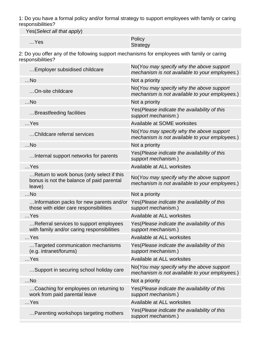1: Do you have a formal policy and/or formal strategy to support employees with family or caring responsibilities?

Yes(Select all that apply)

| $$ Yes | Policy               |
|--------|----------------------|
|        | $C$ <sub>trata</sub> |

### **Strategy**

2: Do you offer any of the following support mechanisms for employees with family or caring responsibilities?

| No(You may specify why the above support<br>mechanism is not available to your employees.) |
|--------------------------------------------------------------------------------------------|
| Not a priority                                                                             |
| No(You may specify why the above support<br>mechanism is not available to your employees.) |
| Not a priority                                                                             |
| Yes (Please indicate the availability of this<br>support mechanism.)                       |
| Available at SOME worksites                                                                |
| No(You may specify why the above support<br>mechanism is not available to your employees.) |
| Not a priority                                                                             |
| Yes (Please indicate the availability of this<br>support mechanism.)                       |
| Available at ALL worksites                                                                 |
| No(You may specify why the above support<br>mechanism is not available to your employees.) |
| Not a priority                                                                             |
| Yes(Please indicate the availability of this<br>support mechanism.)                        |
| Available at ALL worksites                                                                 |
| Yes (Please indicate the availability of this<br>support mechanism.)                       |
| Available at ALL worksites                                                                 |
| Yes(Please indicate the availability of this<br>support mechanism.)                        |
| Available at ALL worksites                                                                 |
| No(You may specify why the above support<br>mechanism is not available to your employees.) |
| Not a priority                                                                             |
| Yes (Please indicate the availability of this<br>support mechanism.)                       |
| Available at ALL worksites                                                                 |
| Yes(Please indicate the availability of this<br>support mechanism.)                        |
|                                                                                            |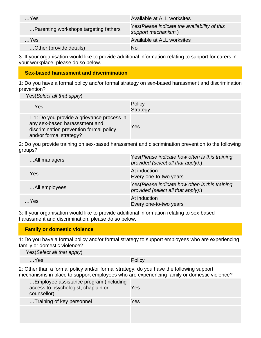| $$ Yes                                | Available at ALL worksites                                           |
|---------------------------------------|----------------------------------------------------------------------|
| Parenting workshops targeting fathers | Yes (Please indicate the availability of this<br>support mechanism.) |
| $$ Yes                                | Available at ALL worksites                                           |
| Other (provide details)               | No                                                                   |

3: If your organisation would like to provide additional information relating to support for carers in your workplace, please do so below.

#### **Sex-based harassment and discrimination**

1: Do you have a formal policy and/or formal strategy on sex-based harassment and discrimination prevention?

Yes(Select all that apply)

| $$ Yes                                                                                                                                            | Policy<br><b>Strategy</b> |
|---------------------------------------------------------------------------------------------------------------------------------------------------|---------------------------|
| 1.1: Do you provide a grievance process in<br>any sex-based harasssment and<br>discrimination prevention formal policy<br>and/or formal strategy? | Yes                       |

2: Do you provide training on sex-based harassment and discrimination prevention to the following groups?

| All managers  | Yes(Please indicate how often is this training<br>provided (select all that apply):)  |
|---------------|---------------------------------------------------------------------------------------|
| $$ Yes        | At induction<br>Every one-to-two years                                                |
| All employees | Yes (Please indicate how often is this training<br>provided (select all that apply):) |
| Yes           | At induction<br>Every one-to-two years                                                |

3: If your organisation would like to provide additional information relating to sex-based harassment and discrimination, please do so below.

### **Family or domestic violence**

1: Do you have a formal policy and/or formal strategy to support employees who are experiencing family or domestic violence?

Yes(Select all that apply) …Yes Policy

2: Other than a formal policy and/or formal strategy, do you have the following support mechanisms in place to support employees who are experiencing family or domestic violence?

| Employee assistance program (including<br>access to psychologist, chaplain or<br>counsellor) | Yes |
|----------------------------------------------------------------------------------------------|-----|
| Training of key personnel                                                                    | Yes |
|                                                                                              |     |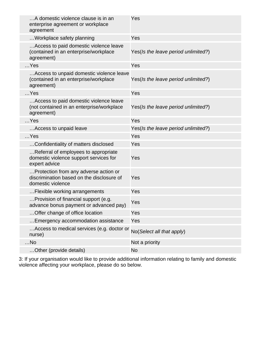| A domestic violence clause is in an<br>enterprise agreement or workplace<br>agreement                   | Yes                                 |
|---------------------------------------------------------------------------------------------------------|-------------------------------------|
| Workplace safety planning                                                                               | Yes                                 |
| Access to paid domestic violence leave<br>(contained in an enterprise/workplace<br>agreement)           | Yes(Is the leave period unlimited?) |
| $$ Yes                                                                                                  | Yes                                 |
| Access to unpaid domestic violence leave<br>(contained in an enterprise/workplace<br>agreement)         | Yes(Is the leave period unlimited?) |
| $$ Yes                                                                                                  | Yes                                 |
| Access to paid domestic violence leave<br>(not contained in an enterprise/workplace<br>agreement)       | Yes(Is the leave period unlimited?) |
| $$ Yes                                                                                                  | Yes                                 |
| Access to unpaid leave                                                                                  | Yes(Is the leave period unlimited?) |
| $$ Yes                                                                                                  | Yes                                 |
| Confidentiality of matters disclosed                                                                    | Yes                                 |
|                                                                                                         |                                     |
| Referral of employees to appropriate<br>domestic violence support services for<br>expert advice         | Yes                                 |
| Protection from any adverse action or<br>discrimination based on the disclosure of<br>domestic violence | Yes                                 |
| Flexible working arrangements                                                                           | Yes                                 |
| Provision of financial support (e.g.<br>advance bonus payment or advanced pay)                          | Yes                                 |
| Offer change of office location                                                                         | Yes                                 |
| Emergency accommodation assistance                                                                      | Yes                                 |
| Access to medical services (e.g. doctor or<br>nurse)                                                    | No(Select all that apply)           |
| $$ No                                                                                                   | Not a priority                      |

3: If your organisation would like to provide additional information relating to family and domestic violence affecting your workplace, please do so below.